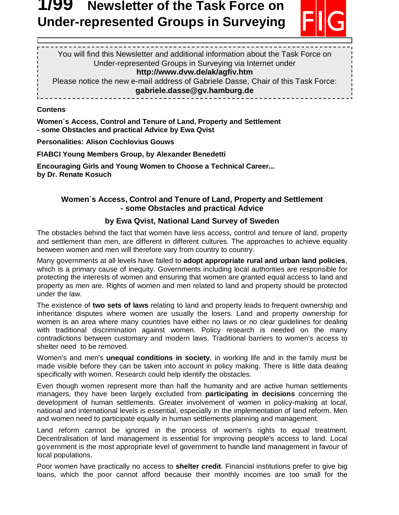# **Newsletter of the Task Force on Under-represented Groups in Surveying**



You will find this Newsletter and additional information about the Task Force on Under-represented Groups in Surveying via Internet under **http://www.dvw.de/ak/agfiv.htm**  Please notice the new e-mail address of Gabriele Dasse, Chair of this Task Force: **gabriele.dasse@gv.hamburg.de** 

**Contens** 

 $\overline{a}$ 

**Women´s Access, Control and Tenure of Land, Property and Settlement - some Obstacles and practical Advice by Ewa Qvist** 

**Personalities: Alison Cochlovius Gouws**

**FIABCI Young Members Group, by Alexander Benedetti** 

**Encouraging Girls and Young Women to Choose a Technical Career... by Dr. Renate Kosuch** 

## **Women´s Access, Control and Tenure of Land, Property and Settlement - some Obstacles and practical Advice**

# **by Ewa Qvist, National Land Survey of Sweden**

The obstacles behind the fact that women have less access, control and tenure of land, property and settlement than men, are different in different cultures. The approaches to achieve equality between women and men will therefore vary from country to country.

Many governments at all levels have failed to **adopt appropriate rural and urban land policies**, which is a primary cause of inequity. Governments including local authorities are responsible for protecting the interests of women and ensuring that women are granted equal access to land and property as men are. Rights of women and men related to land and property should be protected under the law.

The existence of **two sets of laws** relating to land and property leads to frequent ownership and inheritance disputes where women are usually the losers. Land and property ownership for women is an area where many countries have either no laws or no clear guidelines for dealing with traditional discrimination against women. Policy research is needed on the many contradictions between customary and modern laws. Traditional barriers to women's access to shelter need to be removed.

Women's and men's **unequal conditions in society**, in working life and in the family must be made visible before they can be taken into account in policy making. There is little data dealing specifically with women. Research could help identify the obstacles.

Even though women represent more than half the humanity and are active human settlements managers, they have been largely excluded from **participating in decisions** concerning the development of human settlements. Greater involvement of women in policy-making at local, national and international levels is essential, especially in the implementation of land reform. Men and women need to participate equally in human settlements planning and management.

Land reform cannot be ignored in the process of women's rights to equal treatment. Decentralisation of land management is essential for improving people's access to land. Local government is the most appropriate level of government to handle land management in favour of local populations.

Poor women have practically no access to **shelter credit**. Financial institutions prefer to give big loans, which the poor cannot afford because their monthly incomes are too small for the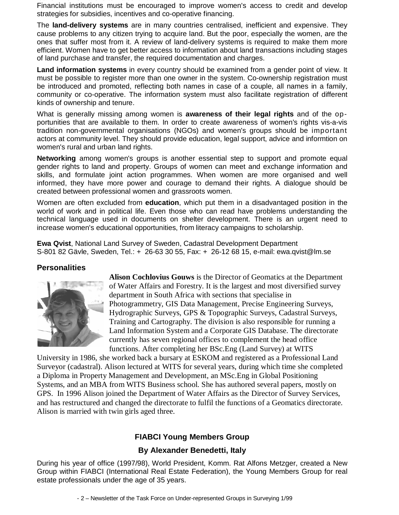loans. Women are often also unable to make transactions without a male relative's consent. Financial institutions must be encouraged to improve women's access to credit and develop strategies for subsidies, incentives and co-operative financing.

The **land-delivery systems** are in many countries centralised, inefficient and expensive. They cause problems to any citizen trying to acquire land. But the poor, especially the women, are the ones that suffer most from it. A review of land-delivery systems is required to make them more efficient. Women have to get better access to information about land transactions including stages of land purchase and transfer, the required documentation and charges.

**Land information systems** in every country should be examined from a gender point of view. It must be possible to register more than one owner in the system. Co-ownership registration must be introduced and promoted, reflecting both names in case of a couple, all names in a family, community or co-operative. The information system must also facilitate registration of different kinds of ownership and tenure.

What is generally missing among women is **awareness of their legal rights** and of the opportunities that are available to them. In order to create awareness of women's rights vis-a-vis tradition non-governmental organisations (NGOs) and women's groups should be important actors at community level. They should provide education, legal support, advice and informtion on women's rural and urban land rights.

**Networking** among women's groups is another essential step to support and promote equal gender rights to land and property. Groups of women can meet and exchange information and skills, and formulate joint action programmes. When women are more organised and well informed, they have more power and courage to demand their rights. A dialogue should be created between professional women and grassroots women.

Women are often excluded from **education**, which put them in a disadvantaged position in the world of work and in political life. Even those who can read have problems understanding the technical language used in documents on shelter development. There is an urgent need to increase women's educational opportunities, from literacy campaigns to scholarship.

**Ewa Qvist**, National Land Survey of Sweden, Cadastral Development Department S-801 82 Gävle, Sweden, Tel.: + 26-63 30 55, Fax: + 26-12 68 15, e-mail: ewa.qvist@lm.se

#### **Personalities**



**Alison Cochlovius Gouws** is the Director of Geomatics at the Department of Water Affairs and Forestry. It is the largest and most diversified survey department in South Africa with sections that specialise in Photogrammetry, GIS Data Management, Precise Engineering Surveys, Hydrographic Surveys, GPS & Topographic Surveys, Cadastral Surveys, Training and Cartography. The division is also responsible for running a Land Information System and a Corporate GIS Database. The directorate currently has seven regional offices to complement the head office functions. After completing her BSc.Eng (Land Survey) at WITS

University in 1986, she worked back a bursary at ESKOM and registered as a Professional Land Surveyor (cadastral). Alison lectured at WITS for several years, during which time she completed a Diploma in Property Management and Development, an MSc.Eng in Global Positioning Systems, and an MBA from WITS Business school. She has authored several papers, mostly on GPS. In 1996 Alison joined the Department of Water Affairs as the Director of Survey Services, and has restructured and changed the directorate to fulfil the functions of a Geomatics directorate. Alison is married with twin girls aged three.

## **FIABCI Young Members Group**

## **By Alexander Benedetti, Italy**

During his year of office (1997/98), World President, Komm. Rat Alfons Metzger, created a New Group within FIABCI (International Real Estate Federation), the Young Members Group for real estate professionals under the age of 35 years.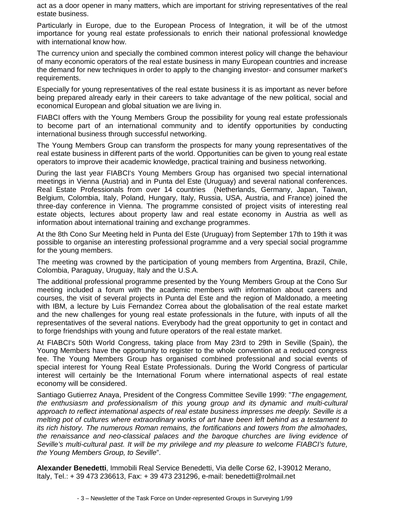association has taken the important decision to devote itself much more intensive as it used to, to act as a door opener in many matters, which are important for striving representatives of the real estate business.

Particularly in Europe, due to the European Process of Integration, it will be of the utmost importance for young real estate professionals to enrich their national professional knowledge with international know how.

The currency union and specially the combined common interest policy will change the behaviour of many economic operators of the real estate business in many European countries and increase the demand for new techniques in order to apply to the changing investor- and consumer market's requirements.

Especially for young representatives of the real estate business it is as important as never before being prepared already early in their careers to take advantage of the new political, social and economical European and global situation we are living in.

FIABCI offers with the Young Members Group the possibility for young real estate professionals to become part of an international community and to identify opportunities by conducting international business through successful networking.

The Young Members Group can transform the prospects for many young representatives of the real estate business in different parts of the world. Opportunities can be given to young real estate operators to improve their academic knowledge, practical training and business networking.

During the last year FIABCI's Young Members Group has organised two special international meetings in Vienna (Austria) and in Punta del Este (Uruguay) and several national conferences. Real Estate Professionals from over 14 countries (Netherlands, Germany, Japan, Taiwan, Belgium, Colombia, Italy, Poland, Hungary, Italy, Russia, USA, Austria, and France) joined the three-day conference in Vienna. The programme consisted of project visits of interesting real estate objects, lectures about property law and real estate economy in Austria as well as information about international training and exchange programmes.

At the 8th Cono Sur Meeting held in Punta del Este (Uruguay) from September 17th to 19th it was possible to organise an interesting professional programme and a very special social programme for the young members.

The meeting was crowned by the participation of young members from Argentina, Brazil, Chile, Colombia, Paraguay, Uruguay, Italy and the U.S.A.

The additional professional programme presented by the Young Members Group at the Cono Sur meeting included a forum with the academic members with information about careers and courses, the visit of several projects in Punta del Este and the region of Maldonado, a meeting with IBM, a lecture by Luis Fernandez Correa about the globalisation of the real estate market and the new challenges for young real estate professionals in the future, with inputs of all the representatives of the several nations. Everybody had the great opportunity to get in contact and to forge friendships with young and future operators of the real estate market.

At FIABCI's 50th World Congress, taking place from May 23rd to 29th in Seville (Spain), the Young Members have the opportunity to register to the whole convention at a reduced congress fee. The Young Members Group has organised combined professional and social events of special interest for Young Real Estate Professionals. During the World Congress of particular interest will certainly be the International Forum where international aspects of real estate economy will be considered.

Santiago Gutierrez Anaya, President of the Congress Committee Seville 1999: "The engagement, the enthusiasm and professionalism of this young group and its dynamic and multi-cultural approach to reflect international aspects of real estate business impresses me deeply. Seville is a melting pot of cultures where extraordinary works of art have been left behind as a testament to its rich history. The numerous Roman remains, the fortifications and towers from the almohades, the renaissance and neo-classical palaces and the baroque churches are living evidence of Seville's multi-cultural past. It will be my privilege and my pleasure to welcome FIABCI's future, the Young Members Group, to Seville".

**Alexander Benedetti**, Immobili Real Service Benedetti, Via delle Corse 62, I-39012 Merano, Italy, Tel.: + 39 473 236613, Fax: + 39 473 231296, e-mail: benedetti@rolmail.net